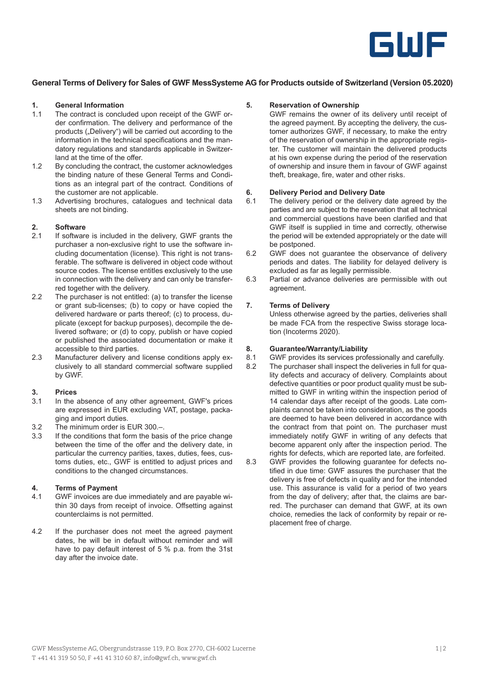

### **General Terms of Delivery for Sales of GWF MessSysteme AG for Products outside of Switzerland (Version 05.2020)**

### **1. General Information**

- The contract is concluded upon receipt of the GWF order confirmation. The delivery and performance of the products ("Delivery") will be carried out according to the information in the technical specifications and the mandatory regulations and standards applicable in Switzerland at the time of the offer.
- 1.2 By concluding the contract, the customer acknowledges the binding nature of these General Terms and Conditions as an integral part of the contract. Conditions of the customer are not applicable.
- 1.3 Advertising brochures, catalogues and technical data sheets are not binding.

## **2. Software**

- If software is included in the delivery, GWF grants the purchaser a non-exclusive right to use the software including documentation (license). This right is not transferable. The software is delivered in object code without source codes. The license entitles exclusively to the use in connection with the delivery and can only be transferred together with the delivery.
- 2.2 The purchaser is not entitled: (a) to transfer the license or grant sub-licenses; (b) to copy or have copied the delivered hardware or parts thereof; (c) to process, duplicate (except for backup purposes), decompile the delivered software; or (d) to copy, publish or have copied or published the associated documentation or make it accessible to third parties.
- 2.3 Manufacturer delivery and license conditions apply exclusively to all standard commercial software supplied by GWF.

#### **3. Prices**

- 3.1 In the absence of any other agreement, GWF's prices are expressed in EUR excluding VAT, postage, packaging and import duties.
- 3.2 The minimum order is EUR 300.–.
- 3.3 If the conditions that form the basis of the price change between the time of the offer and the delivery date, in particular the currency parities, taxes, duties, fees, customs duties, etc., GWF is entitled to adjust prices and conditions to the changed circumstances.

#### **4. Terms of Payment**

- 4.1 GWF invoices are due immediately and are payable within 30 days from receipt of invoice. Offsetting against counterclaims is not permitted.
- 4.2 If the purchaser does not meet the agreed payment dates, he will be in default without reminder and will have to pay default interest of 5 % p.a. from the 31st day after the invoice date.

#### **5. Reservation of Ownership**

GWF remains the owner of its delivery until receipt of the agreed payment. By accepting the delivery, the customer authorizes GWF, if necessary, to make the entry of the reservation of ownership in the appropriate register. The customer will maintain the delivered products at his own expense during the period of the reservation of ownership and insure them in favour of GWF against theft, breakage, fire, water and other risks.

## **6. Delivery Period and Delivery Date**

- The delivery period or the delivery date agreed by the parties and are subject to the reservation that all technical and commercial questions have been clarified and that GWF itself is supplied in time and correctly, otherwise the period will be extended appropriately or the date will be postponed.
- 6.2 GWF does not guarantee the observance of delivery periods and dates. The liability for delayed delivery is excluded as far as legally permissible.
- 6.3 Partial or advance deliveries are permissible with out agreement.

#### **7. Terms of Delivery**

Unless otherwise agreed by the parties, deliveries shall be made FCA from the respective Swiss storage location (Incoterms 2020).

# **8. Guarantee/Warranty/Liability**

- GWF provides its services professionally and carefully.
- 8.2 The purchaser shall inspect the deliveries in full for quality defects and accuracy of delivery. Complaints about defective quantities or poor product quality must be submitted to GWF in writing within the inspection period of 14 calendar days after receipt of the goods. Late complaints cannot be taken into consideration, as the goods are deemed to have been delivered in accordance with the contract from that point on. The purchaser must immediately notify GWF in writing of any defects that become apparent only after the inspection period. The rights for defects, which are reported late, are forfeited.
- 8.3 GWF provides the following guarantee for defects notified in due time: GWF assures the purchaser that the delivery is free of defects in quality and for the intended use. This assurance is valid for a period of two years from the day of delivery; after that, the claims are barred. The purchaser can demand that GWF, at its own choice, remedies the lack of conformity by repair or replacement free of charge.